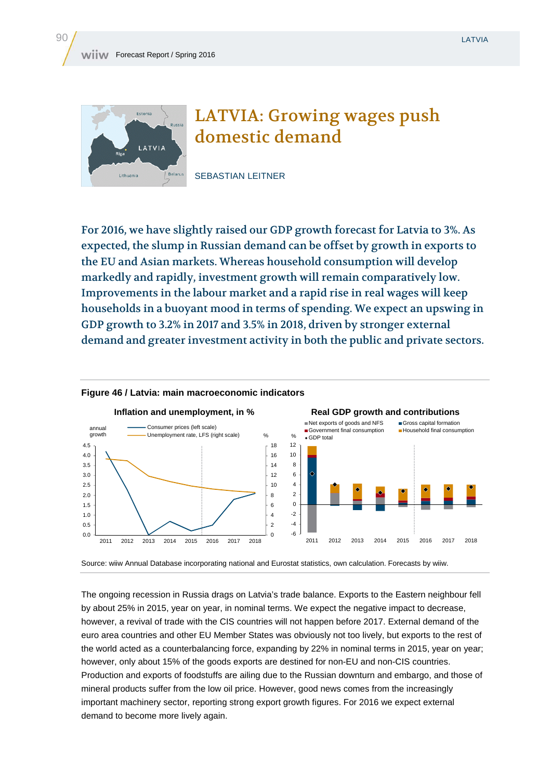

## LATVIA: Growing wages push domestic demand

SEBASTIAN LEITNER

For 2016, we have slightly raised our GDP growth forecast for Latvia to 3%. As expected, the slump in Russian demand can be offset by growth in exports to the EU and Asian markets. Whereas household consumption will develop markedly and rapidly, investment growth will remain comparatively low. Improvements in the labour market and a rapid rise in real wages will keep households in a buoyant mood in terms of spending. We expect an upswing in GDP growth to 3.2% in 2017 and 3.5% in 2018, driven by stronger external demand and greater investment activity in both the public and private sectors.



## **Figure 46 / Latvia: main macroeconomic indicators**

Source: wiiw Annual Database incorporating national and Eurostat statistics, own calculation. Forecasts by wiiw.

The ongoing recession in Russia drags on Latvia's trade balance. Exports to the Eastern neighbour fell by about 25% in 2015, year on year, in nominal terms. We expect the negative impact to decrease, however, a revival of trade with the CIS countries will not happen before 2017. External demand of the euro area countries and other EU Member States was obviously not too lively, but exports to the rest of the world acted as a counterbalancing force, expanding by 22% in nominal terms in 2015, year on year; however, only about 15% of the goods exports are destined for non-EU and non-CIS countries. Production and exports of foodstuffs are ailing due to the Russian downturn and embargo, and those of mineral products suffer from the low oil price. However, good news comes from the increasingly important machinery sector, reporting strong export growth figures. For 2016 we expect external demand to become more lively again.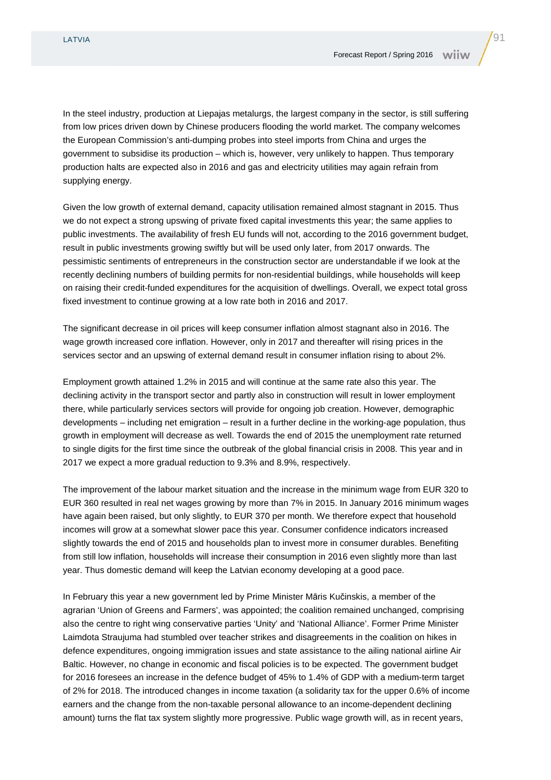In the steel industry, production at Liepajas metalurgs, the largest company in the sector, is still suffering from low prices driven down by Chinese producers flooding the world market. The company welcomes the European Commission's anti-dumping probes into steel imports from China and urges the government to subsidise its production – which is, however, very unlikely to happen. Thus temporary production halts are expected also in 2016 and gas and electricity utilities may again refrain from supplying energy.

Given the low growth of external demand, capacity utilisation remained almost stagnant in 2015. Thus we do not expect a strong upswing of private fixed capital investments this year; the same applies to public investments. The availability of fresh EU funds will not, according to the 2016 government budget, result in public investments growing swiftly but will be used only later, from 2017 onwards. The pessimistic sentiments of entrepreneurs in the construction sector are understandable if we look at the recently declining numbers of building permits for non-residential buildings, while households will keep on raising their credit-funded expenditures for the acquisition of dwellings. Overall, we expect total gross fixed investment to continue growing at a low rate both in 2016 and 2017.

The significant decrease in oil prices will keep consumer inflation almost stagnant also in 2016. The wage growth increased core inflation. However, only in 2017 and thereafter will rising prices in the services sector and an upswing of external demand result in consumer inflation rising to about 2%.

Employment growth attained 1.2% in 2015 and will continue at the same rate also this year. The declining activity in the transport sector and partly also in construction will result in lower employment there, while particularly services sectors will provide for ongoing job creation. However, demographic developments – including net emigration – result in a further decline in the working-age population, thus growth in employment will decrease as well. Towards the end of 2015 the unemployment rate returned to single digits for the first time since the outbreak of the global financial crisis in 2008. This year and in 2017 we expect a more gradual reduction to 9.3% and 8.9%, respectively.

The improvement of the labour market situation and the increase in the minimum wage from EUR 320 to EUR 360 resulted in real net wages growing by more than 7% in 2015. In January 2016 minimum wages have again been raised, but only slightly, to EUR 370 per month. We therefore expect that household incomes will grow at a somewhat slower pace this year. Consumer confidence indicators increased slightly towards the end of 2015 and households plan to invest more in consumer durables. Benefiting from still low inflation, households will increase their consumption in 2016 even slightly more than last year. Thus domestic demand will keep the Latvian economy developing at a good pace.

In February this year a new government led by Prime Minister Māris Kučinskis, a member of the agrarian 'Union of Greens and Farmers', was appointed; the coalition remained unchanged, comprising also the centre to right wing conservative parties 'Unity' and 'National Alliance'. Former Prime Minister Laimdota Straujuma had stumbled over teacher strikes and disagreements in the coalition on hikes in defence expenditures, ongoing immigration issues and state assistance to the ailing national airline Air Baltic. However, no change in economic and fiscal policies is to be expected. The government budget for 2016 foresees an increase in the defence budget of 45% to 1.4% of GDP with a medium-term target of 2% for 2018. The introduced changes in income taxation (a solidarity tax for the upper 0.6% of income earners and the change from the non-taxable personal allowance to an income-dependent declining amount) turns the flat tax system slightly more progressive. Public wage growth will, as in recent years,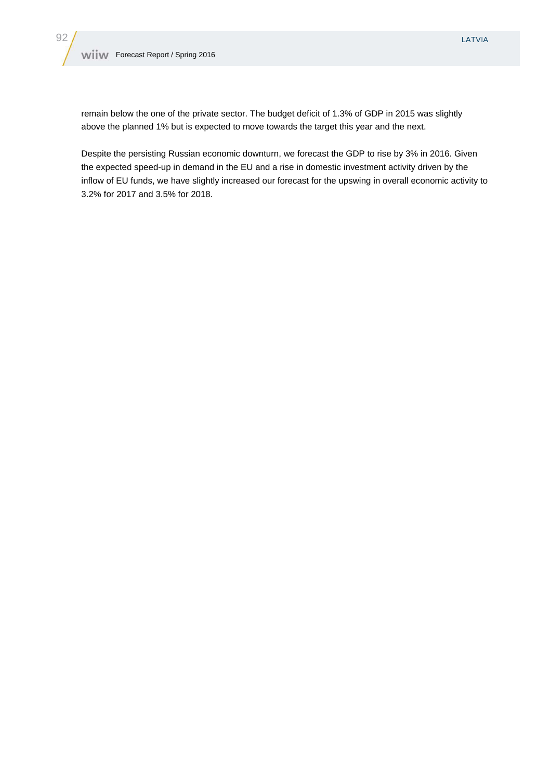remain below the one of the private sector. The budget deficit of 1.3% of GDP in 2015 was slightly above the planned 1% but is expected to move towards the target this year and the next.

Despite the persisting Russian economic downturn, we forecast the GDP to rise by 3% in 2016. Given the expected speed-up in demand in the EU and a rise in domestic investment activity driven by the inflow of EU funds, we have slightly increased our forecast for the upswing in overall economic activity to 3.2% for 2017 and 3.5% for 2018.